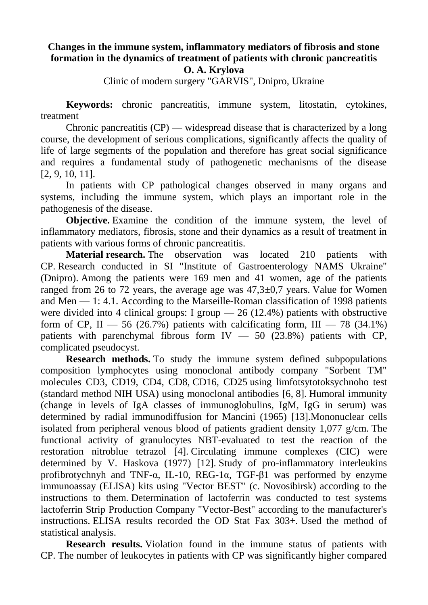## **Changes in the immune system, inflammatory mediators of fibrosis and stone formation in the dynamics of treatment of patients with chronic pancreatitis O. A. Krylova**

Clinic of modern surgery "GARVIS", Dnipro, Ukraine

**Keywords:** chronic pancreatitis, immune system, litostatin, cytokines, treatment

Chronic pancreatitis  $(CP)$  — widespread disease that is characterized by a long course, the development of serious complications, significantly affects the quality of life of large segments of the population and therefore has great social significance and requires a fundamental study of pathogenetic mechanisms of the disease [\[2,](https://translate.googleusercontent.com/translate_f#_Ref461878540) [9,](https://translate.googleusercontent.com/translate_f#_Ref461878547) [10,](https://translate.googleusercontent.com/translate_f#_Ref461878551) [11\]](https://translate.googleusercontent.com/translate_f#_Ref461878555).

In patients with CP pathological changes observed in many organs and systems, including the immune system, which plays an important role in the pathogenesis of the disease.

**Objective.** Examine the condition of the immune system, the level of inflammatory mediators, fibrosis, stone and their dynamics as a result of treatment in patients with various forms of chronic pancreatitis.

**Material research.** The observation was located 210 patients with CP. Research conducted in SI "Institute of Gastroenterology NAMS Ukraine" (Dnipro). Among the patients were 169 men and 41 women, age of the patients ranged from 26 to 72 years, the average age was 47,3±0,7 years. Value for Women and Men — 1: 4.1. According to the Marseille-Roman classification of 1998 patients were divided into 4 clinical groups: I group  $-26$  (12.4%) patients with obstructive form of CP, II — 56 (26.7%) patients with calcificating form, III — 78 (34.1%) patients with parenchymal fibrous form  $IV - 50$  (23.8%) patients with CP, complicated pseudocyst.

**Research methods.** To study the immune system defined subpopulations composition lymphocytes using monoclonal antibody company "Sorbent TM" molecules CD3, CD19, CD4, CD8, CD16, CD25 using limfotsytotoksychnoho test (standard method NIH USA) using monoclonal antibodies [\[6,](https://translate.googleusercontent.com/translate_f#_Ref461879023) [8\]](https://translate.googleusercontent.com/translate_f#_Ref461879029). Humoral immunity (change in levels of IgA classes of immunoglobulins, IgM, IgG in serum) was determined by radial immunodiffusion for Mancini (1965) [\[13\]](https://translate.googleusercontent.com/translate_f#_Ref461879054).Mononuclear cells isolated from peripheral venous blood of patients gradient density 1,077 g/cm. The functional activity of granulocytes NBT-evaluated to test the reaction of the restoration nitroblue tetrazol [\[4\]](https://translate.googleusercontent.com/translate_f#_Ref461879080). Circulating immune complexes (CIC) were determined by V. Haskova (1977) [\[12\]](https://translate.googleusercontent.com/translate_f#_Ref461879362). Study of pro-inflammatory interleukins profibrotychnyh and TNF- $\alpha$ , IL-10, REG-1 $\alpha$ , TGF- $\beta$ 1 was performed by enzyme immunoassay (ELISA) kits using "Vector BEST" (c. Novosibirsk) according to the instructions to them. Determination of lactoferrin was conducted to test systems lactoferrin Strip Production Company "Vector-Best" according to the manufacturer's instructions. ELISA results recorded the OD Stat Fax 303+. Used the method of statistical analysis.

**Research results.** Violation found in the immune status of patients with CP. The number of leukocytes in patients with CP was significantly higher compared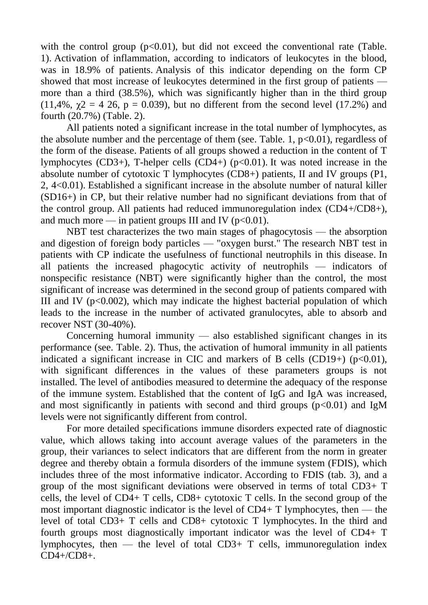with the control group  $(p<0.01)$ , but did not exceed the conventional rate (Table. 1). Activation of inflammation, according to indicators of leukocytes in the blood, was in 18.9% of patients. Analysis of this indicator depending on the form CP showed that most increase of leukocytes determined in the first group of patients more than a third (38.5%), which was significantly higher than in the third group (11,4%,  $\gamma$ 2 = 4 26, p = 0.039), but no different from the second level (17.2%) and fourth (20.7%) (Table. 2).

All patients noted a significant increase in the total number of lymphocytes, as the absolute number and the percentage of them (see. Table. 1,  $p<0.01$ ), regardless of the form of the disease. Patients of all groups showed a reduction in the content of T lymphocytes  $(CD3+)$ , T-helper cells  $(CD4+)$  ( $p<0.01$ ). It was noted increase in the absolute number of cytotoxic T lymphocytes (CD8+) patients, II and IV groups (P1, 2, 4<0.01). Established a significant increase in the absolute number of natural killer (SD16+) in CP, but their relative number had no significant deviations from that of the control group. All patients had reduced immunoregulation index (CD4+/CD8+), and much more — in patient groups III and IV  $(p<0.01)$ .

NBT test characterizes the two main stages of phagocytosis — the absorption and digestion of foreign body particles — "oxygen burst." The research NBT test in patients with CP indicate the usefulness of functional neutrophils in this disease. In all patients the increased phagocytic activity of neutrophils — indicators of nonspecific resistance (NBT) were significantly higher than the control, the most significant of increase was determined in the second group of patients compared with III and IV ( $p<0.002$ ), which may indicate the highest bacterial population of which leads to the increase in the number of activated granulocytes, able to absorb and recover NST (30-40%).

Concerning humoral immunity  $\frac{1}{2}$  also established significant changes in its performance (see. Table. 2). Thus, the activation of humoral immunity in all patients indicated a significant increase in CIC and markers of B cells  $(CD19+)$  ( $p<0.01$ ), with significant differences in the values of these parameters groups is not installed. The level of antibodies measured to determine the adequacy of the response of the immune system. Established that the content of IgG and IgA was increased, and most significantly in patients with second and third groups  $(p<0.01)$  and IgM levels were not significantly different from control.

For more detailed specifications immune disorders expected rate of diagnostic value, which allows taking into account average values of the parameters in the group, their variances to select indicators that are different from the norm in greater degree and thereby obtain a formula disorders of the immune system (FDIS), which includes three of the most informative indicator. According to FDIS (tab. 3), and a group of the most significant deviations were observed in terms of total CD3+ T cells, the level of CD4+ T cells, CD8+ cytotoxic T cells. In the second group of the most important diagnostic indicator is the level of  $CD4+T$  lymphocytes, then — the level of total CD3+ T cells and CD8+ cytotoxic T lymphocytes. In the third and fourth groups most diagnostically important indicator was the level of CD4+ T lymphocytes, then — the level of total  $CD3+T$  cells, immunoregulation index CD4+/CD8+.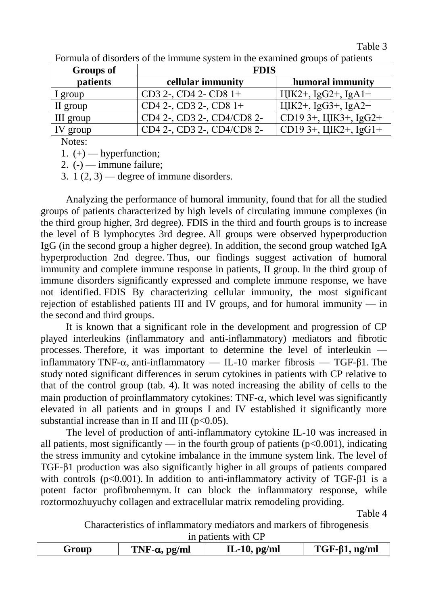Table 3

| <b>Groups of</b>              | <b>FDIS</b>                  |                                        |  |  |  |
|-------------------------------|------------------------------|----------------------------------------|--|--|--|
| patients<br>cellular immunity |                              | humoral immunity                       |  |  |  |
| l group                       | $CD3$ 2-, $CD4$ 2- $CD8$ 1+  | $I\llbracket K2+, IgG2+, IgA1+$        |  |  |  |
| II group                      | $CD4$ 2-, $CD3$ 2-, $CD8$ 1+ | $I\llap{/}I\llap{/}K2+$ , IgG3+, IgA2+ |  |  |  |
| III group                     | CD4 2-, CD3 2-, CD4/CD8 2-   | $ CD193+, \text{IIK3+}, \text{IgG2+} $ |  |  |  |
| IV group                      | CD4 2-, CD3 2-, CD4/CD8 2-   | $ CD193+, \text{IIK2+}, \text{IgG1+} $ |  |  |  |

Formula of disorders of the immune system in the examined groups of patients

Notes:

1.  $(+)$  — hyperfunction;

2.  $(-)$  — immune failure;

3.  $1(2, 3)$  — degree of immune disorders.

Analyzing the performance of humoral immunity, found that for all the studied groups of patients characterized by high levels of circulating immune complexes (in the third group higher, 3rd degree). FDIS in the third and fourth groups is to increase the level of B lymphocytes 3rd degree. All groups were observed hyperproduction IgG (in the second group a higher degree). In addition, the second group watched IgA hyperproduction 2nd degree. Thus, our findings suggest activation of humoral immunity and complete immune response in patients, II group. In the third group of immune disorders significantly expressed and complete immune response, we have not identified. FDIS By characterizing cellular immunity, the most significant rejection of established patients III and IV groups, and for humoral immunity — in the second and third groups.

It is known that a significant role in the development and progression of CP played interleukins (inflammatory and anti-inflammatory) mediators and fibrotic processes. Therefore, it was important to determine the level of interleukin inflammatory TNF- $\alpha$ , anti-inflammatory — IL-10 marker fibrosis — TGF- $\beta$ 1. The study noted significant differences in serum cytokines in patients with CP relative to that of the control group (tab. 4). It was noted increasing the ability of cells to the main production of proinflammatory cytokines:  $TNF-\alpha$ , which level was significantly elevated in all patients and in groups I and IV established it significantly more substantial increase than in II and III ( $p<0.05$ ).

The level of production of anti-inflammatory cytokine IL-10 was increased in all patients, most significantly — in the fourth group of patients ( $p<0.001$ ), indicating the stress immunity and cytokine imbalance in the immune system link. The level of TGF-β1 production was also significantly higher in all groups of patients compared with controls ( $p<0.001$ ). In addition to anti-inflammatory activity of TGF- $\beta$ 1 is a potent factor profibrohennym. It can block the inflammatory response, while roztormozhuyuchy collagen and extracellular matrix remodeling providing.

Table 4

Characteristics of inflammatory mediators and markers of fibrogenesis in patients with CP

| TNF- $\alpha$ , pg/ml | IL-10, $pg/ml$ | $TGF-\beta1, ng/ml$ |
|-----------------------|----------------|---------------------|
|                       |                |                     |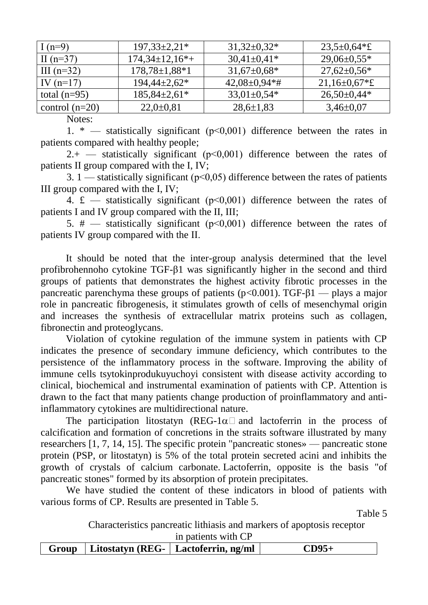| I $(n=9)$        | $197,33\pm2,21*$           | $31,32\pm0.32*$    | $23,5 \pm 0,64 \times \pounds$ |
|------------------|----------------------------|--------------------|--------------------------------|
| II $(n=37)$      | $174,34\pm 12,16*$         | $30,41\pm0,41*$    | $29,06\pm0,55*$                |
| III $(n=32)$     | $178,78 \pm 1,88 \times 1$ | $31,67 \pm 0,68$ * | $27,62 \pm 0,56^*$             |
| IV $(n=17)$      | $194,44\pm 2,62*$          | $42,08\pm0,94**$   | $21,16 \pm 0.67$ *£            |
| total $(n=95)$   | $185,84\pm2,61*$           | $33,01\pm0,54*$    | $26,50\pm0,44*$                |
| control $(n=20)$ | $22,0 \pm 0,81$            | $28,6 \pm 1,83$    | $3,46\pm0,07$                  |

Notes:

1. \* — statistically significant ( $p<0,001$ ) difference between the rates in patients compared with healthy people;

 $2.+$  — statistically significant ( $p<0.001$ ) difference between the rates of patients II group compared with the I, IV;

3. 1 — statistically significant ( $p<0.05$ ) difference between the rates of patients III group compared with the I, IV;

4.  $\text{\pounds}$  — statistically significant ( $p \le 0.001$ ) difference between the rates of patients I and IV group compared with the II, III;

5.  $\#$  — statistically significant ( $p \le 0.001$ ) difference between the rates of patients IV group compared with the ІІ.

It should be noted that the inter-group analysis determined that the level profibrohennoho cytokine TGF-β1 was significantly higher in the second and third groups of patients that demonstrates the highest activity fibrotic processes in the pancreatic parenchyma these groups of patients ( $p<0.001$ ). TGF- $\beta1$  — plays a major role in pancreatic fibrogenesis, it stimulates growth of cells of mesenchymal origin and increases the synthesis of extracellular matrix proteins such as collagen, fibronectin and proteoglycans.

Violation of cytokine regulation of the immune system in patients with CP indicates the presence of secondary immune deficiency, which contributes to the persistence of the inflammatory process in the software. Improving the ability of immune cells tsytokinprodukuyuchoyi consistent with disease activity according to clinical, biochemical and instrumental examination of patients with CP. Attention is drawn to the fact that many patients change production of proinflammatory and antiinflammatory cytokines are multidirectional nature.

The participation litostatyn (REG-1 $\alpha$ ) and lactoferrin in the process of calcification and formation of concretions in the straits software illustrated by many researchers [\[1,](https://translate.googleusercontent.com/translate_f#_Ref461888616) [7,](https://translate.googleusercontent.com/translate_f#_Ref461888621) [14,](https://translate.googleusercontent.com/translate_f#_Ref461888627) [15\]](https://translate.googleusercontent.com/translate_f#_Ref461888631). The specific protein "pancreatic stones» — pancreatic stone protein (PSP, or litostatyn) is 5% of the total protein secreted acini and inhibits the growth of crystals of calcium carbonate. Lactoferrin, opposite is the basis "of pancreatic stones" formed by its absorption of protein precipitates.

We have studied the content of these indicators in blood of patients with various forms of CP. Results are presented in Table 5.

Table 5

Characteristics pancreatic lithiasis and markers of apoptosis receptor in patients with CP

|  | $Group$   Litostatyn (REG-   Lactoferrin, ng/ml |  |  |  |  |
|--|-------------------------------------------------|--|--|--|--|
|  |                                                 |  |  |  |  |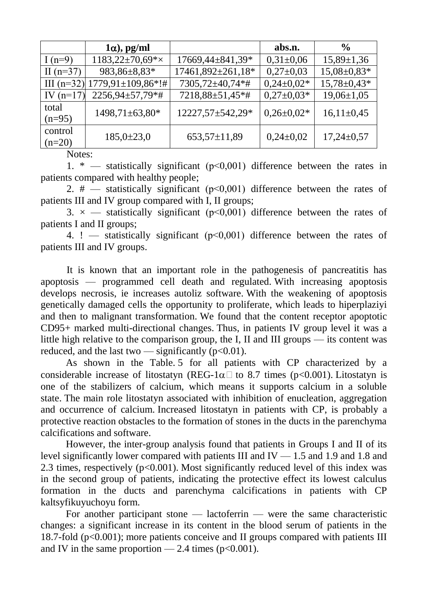|             | $1\alpha$ , pg/ml                   |                   | abs.n.         | $\frac{6}{6}$     |
|-------------|-------------------------------------|-------------------|----------------|-------------------|
| I $(n=9)$   | $1183,22\pm70,69*\times$            | 17669,44±841,39*  | $0,31\pm0,06$  | $15,89 \pm 1,36$  |
| II $(n=37)$ | 983,86±8,83*                        | 17461,892±261,18* | $0,27\pm0,03$  | 15,08±0,83*       |
|             | III (n=32) $1779,91 \pm 109,86$ *!# | 7305,72±40,74*#   | $0,24\pm0.02*$ | $15,78 \pm 0,43*$ |
| IV $(n=17)$ | $2256,94\pm57,79**$                 | 7218,88±51,45*#   | $0,27\pm0.03*$ | $19,06 \pm 1,05$  |
| total       | 1498,71±63,80*                      | 12227,57±542,29*  | $0,26\pm0.02*$ | $16,11\pm0,45$    |
| $(n=95)$    |                                     |                   |                |                   |
| control     | $185,0\pm23,0$                      | 653,57±11,89      | $0,24\pm0,02$  | $17,24\pm0,57$    |
| $(n=20)$    |                                     |                   |                |                   |

Notes:

1. \* — statistically significant  $(p<0,001)$  difference between the rates in patients compared with healthy people;

2.  $\#$  — statistically significant ( $p \le 0.001$ ) difference between the rates of patients III and IV group compared with I, II groups;

3.  $\times$  - statistically significant ( $p$ <0,001) difference between the rates of patients I and II groups;

4. ! — statistically significant (p<0,001) difference between the rates of patients III and IV groups.

It is known that an important role in the pathogenesis of pancreatitis has apoptosis — programmed cell death and regulated. With increasing apoptosis develops necrosis, ie increases autoliz software. With the weakening of apoptosis genetically damaged cells the opportunity to proliferate, which leads to hiperplaziyi and then to malignant transformation. We found that the content receptor apoptotic CD95+ marked multi-directional changes. Thus, in patients IV group level it was a little high relative to the comparison group, the I, II and III groups — its content was reduced, and the last two — significantly  $(p<0.01)$ .

As shown in the Table. 5 for all patients with CP characterized by a considerable increase of litostatyn (REG-1 $\alpha$ ) to 8.7 times (p<0.001). Litostatyn is one of the stabilizers of calcium, which means it supports calcium in a soluble state. The main role litostatyn associated with inhibition of enucleation, aggregation and occurrence of calcium. Increased litostatyn in patients with CP, is probably a protective reaction obstacles to the formation of stones in the ducts in the parenchyma calcifications and software.

However, the inter-group analysis found that patients in Groups I and II of its level significantly lower compared with patients III and IV — 1.5 and 1.9 and 1.8 and 2.3 times, respectively ( $p<0.001$ ). Most significantly reduced level of this index was in the second group of patients, indicating the protective effect its lowest calculus formation in the ducts and parenchyma calcifications in patients with CP kaltsyfikuyuchoyu form.

For another participant stone — lactoferrin — were the same characteristic changes: a significant increase in its content in the blood serum of patients in the 18.7-fold (p<0.001); more patients conceive and II groups compared with patients III and IV in the same proportion — 2.4 times  $(p<0.001)$ .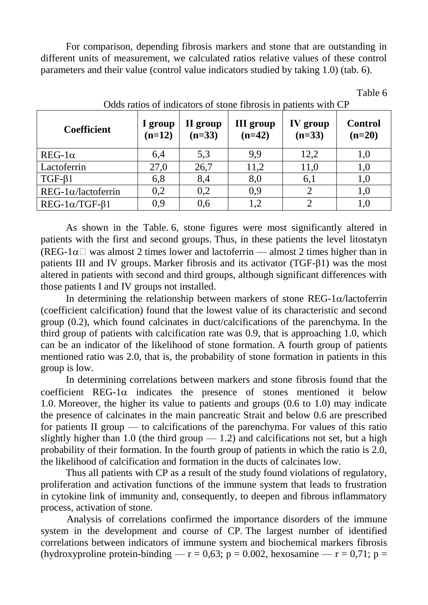For comparison, depending fibrosis markers and stone that are outstanding in different units of measurement, we calculated ratios relative values of these control parameters and their value (control value indicators studied by taking 1.0) (tab. 6).

| <b>Coefficient</b>          | I group<br>$(n=12)$ | II group<br>$(n=33)$ | <b>III</b> group<br>$(n=42)$ | <u>Udus failos of filmeators of storie florosis in patients with CF</u><br>IV group<br>$(n=33)$ | <b>Control</b><br>$(n=20)$ |
|-----------------------------|---------------------|----------------------|------------------------------|-------------------------------------------------------------------------------------------------|----------------------------|
| $REG-1\alpha$               | 6,4                 | 5,3                  | 9,9                          | 12,2                                                                                            | 1,0                        |
| Lactoferrin                 | 27,0                | 26,7                 | 11,2                         | 11,0                                                                                            | 1,0                        |
| $TGF-\beta1$                | 6,8                 | 8,4                  | 8,0                          | 6,1                                                                                             | 1,0                        |
| $REG-1\alpha/lactoferrin$   | 0,2                 | 0,2                  | 0,9                          | 2                                                                                               | 1,0                        |
| $REG-1\alpha/ TGF- \beta 1$ | 0,9                 | 0,6                  | 1,2                          |                                                                                                 | 1,0                        |

Odds ratios of indicators of stone fibrosis in patients with CD

Table 6

As shown in the Table. 6, stone figures were most significantly altered in patients with the first and second groups. Thus, in these patients the level litostatyn (REG-1 $\alpha$ ) was almost 2 times lower and lactoferrin — almost 2 times higher than in patients III and IV groups. Marker fibrosis and its activator (TGF-β1) was the most altered in patients with second and third groups, although significant differences with those patients I and IV groups not installed.

In determining the relationship between markers of stone REG-1 $\alpha$ /lactoferrin (coefficient calcification) found that the lowest value of its characteristic and second group (0.2), which found calcinates in duct/calcifications of the parenchyma. In the third group of patients with calcification rate was 0.9, that is approaching 1.0, which can be an indicator of the likelihood of stone formation. A fourth group of patients mentioned ratio was 2.0, that is, the probability of stone formation in patients in this group is low.

In determining correlations between markers and stone fibrosis found that the coefficient REG-1 $\alpha$  indicates the presence of stones mentioned it below 1.0. Moreover, the higher its value to patients and groups (0.6 to 1.0) may indicate the presence of calcinates in the main pancreatic Strait and below 0.6 are prescribed for patients II group — to calcifications of the parenchyma. For values of this ratio slightly higher than 1.0 (the third group  $-1.2$ ) and calcifications not set, but a high probability of their formation. In the fourth group of patients in which the ratio is 2.0, the likelihood of calcification and formation in the ducts of calcinates low.

Thus all patients with CP as a result of the study found violations of regulatory, proliferation and activation functions of the immune system that leads to frustration in cytokine link of immunity and, consequently, to deepen and fibrous inflammatory process, activation of stone.

Analysis of correlations confirmed the importance disorders of the immune system in the development and course of CP. The largest number of identified correlations between indicators of immune system and biochemical markers fibrosis (hydroxyproline protein-binding —  $r = 0.63$ ; p = 0.002, hexosamine —  $r = 0.71$ ; p =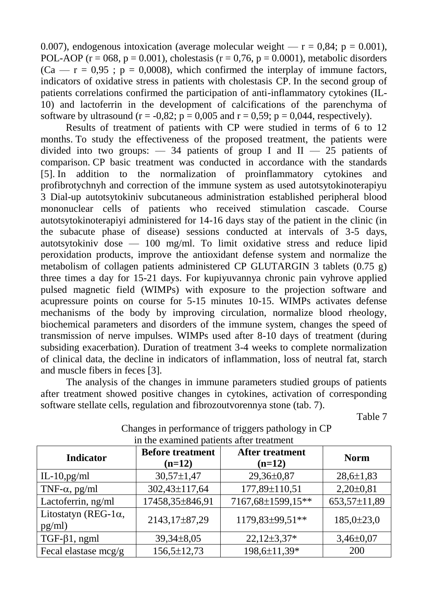0.007), endogenous intoxication (average molecular weight  $-$  r = 0.84; p = 0.001), POL-AOP ( $r = 068$ ,  $p = 0.001$ ), cholestasis ( $r = 0.76$ ,  $p = 0.0001$ ), metabolic disorders  $(Ca - r = 0.95$ ;  $p = 0.0008$ , which confirmed the interplay of immune factors, indicators of oxidative stress in patients with cholestasis CP. In the second group of patients correlations confirmed the participation of anti-inflammatory cytokines (IL-10) and lactoferrin in the development of calcifications of the parenchyma of software by ultrasound ( $r = -0.82$ ;  $p = 0.005$  and  $r = 0.59$ ;  $p = 0.044$ , respectively).

Results of treatment of patients with CP were studied in terms of 6 to 12 months. To study the effectiveness of the proposed treatment, the patients were divided into two groups:  $-34$  patients of group I and II  $-25$  patients of comparison. CP basic treatment was conducted in accordance with the standards [\[5\]](https://translate.googleusercontent.com/translate_f#_Ref461889195). In addition to the normalization of proinflammatory cytokines and profibrotychnyh and correction of the immune system as used autotsytokinoterapiyu 3 Dial-up autotsytokiniv subcutaneous administration established peripheral blood mononuclear cells of patients who received stimulation cascade. Course autotsytokinoterapiyi administered for 14-16 days stay of the patient in the clinic (in the subacute phase of disease) sessions conducted at intervals of 3-5 days, autotsytokiniv dose — 100 mg/ml. To limit oxidative stress and reduce lipid peroxidation products, improve the antioxidant defense system and normalize the metabolism of collagen patients administered CP GLUTARGIN 3 tablets (0.75 g) three times a day for 15-21 days. For kupiyuvannya chronic pain vyhrove applied pulsed magnetic field (WIMPs) with exposure to the projection software and acupressure points on course for 5-15 minutes 10-15. WIMPs activates defense mechanisms of the body by improving circulation, normalize blood rheology, biochemical parameters and disorders of the immune system, changes the speed of transmission of nerve impulses. WIMPs used after 8-10 days of treatment (during subsiding exacerbation). Duration of treatment 3-4 weeks to complete normalization of clinical data, the decline in indicators of inflammation, loss of neutral fat, starch and muscle fibers in feces [\[3\]](https://translate.googleusercontent.com/translate_f#_Ref461889278).

The analysis of the changes in immune parameters studied groups of patients after treatment showed positive changes in cytokines, activation of corresponding software stellate cells, regulation and fibrozoutvorennya stone (tab. 7).

Table 7

| <b>Indicator</b>                       | <b>Before treatment</b><br>$(n=12)$  | <b>After treatment</b><br>$(n=12)$ | <b>Norm</b>     |
|----------------------------------------|--------------------------------------|------------------------------------|-----------------|
| IL-10,pg/ml                            | $30,57 \pm 1,47$                     | 29,36±0,87                         | $28,6 \pm 1,83$ |
| TNF- $\alpha$ , pg/ml                  | 302,43±117,64<br>177,89±110,51       |                                    | $2,20\pm0,81$   |
| Lactoferrin, ng/ml                     | 7167,68±1599,15**<br>17458,35±846,91 |                                    | 653,57±11,89    |
| Litostatyn (REG-1 $\alpha$ ,<br>pg/ml) | 2143,17±87,29                        | 1179,83±99,51**                    | $185,0\pm23,0$  |
| $TGF-\beta1, ngml$                     | $39,34\pm8,05$                       | $22,12\pm3,37*$                    | $3,46\pm0,07$   |
| Fecal elastase $mcg/g$                 | $156,5 \pm 12,73$                    | 198,6±11,39*                       | <b>200</b>      |

Changes in performance of triggers pathology in CP in the examined patients after treatment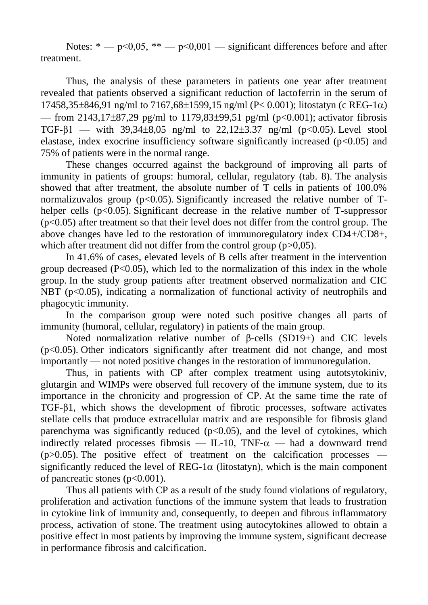Notes:  $* - p \le 0.05$ ,  $** - p \le 0.001$  — significant differences before and after treatment.

Thus, the analysis of these parameters in patients one year after treatment revealed that patients observed a significant reduction of lactoferrin in the serum of  $17458,35\pm846,91$  ng/ml to  $7167,68\pm1599,15$  ng/ml (P< 0.001); litostatyn (c REG-1 $\alpha$ ) — from 2143,17 $\pm$ 87,29 pg/ml to 1179,83 $\pm$ 99,51 pg/ml (p<0.001); activator fibrosis TGF-β1 — with  $39.34 \pm 8.05$  ng/ml to  $22.12 \pm 3.37$  ng/ml (p<0.05). Level stool elastase, index exocrine insufficiency software significantly increased ( $p$ <0.05) and 75% of patients were in the normal range.

These changes occurred against the background of improving all parts of immunity in patients of groups: humoral, cellular, regulatory (tab. 8). The analysis showed that after treatment, the absolute number of T cells in patients of 100.0% normalizuvalos group ( $p<0.05$ ). Significantly increased the relative number of Thelper cells  $(p<0.05)$ . Significant decrease in the relative number of T-suppressor  $(p<0.05)$  after treatment so that their level does not differ from the control group. The above changes have led to the restoration of immunoregulatory index CD4+/CD8+, which after treatment did not differ from the control group (p>0,05).

In 41.6% of cases, elevated levels of B cells after treatment in the intervention group decreased  $(P<0.05)$ , which led to the normalization of this index in the whole group. In the study group patients after treatment observed normalization and CIC NBT (p<0.05), indicating a normalization of functional activity of neutrophils and phagocytic immunity.

In the comparison group were noted such positive changes all parts of immunity (humoral, cellular, regulatory) in patients of the main group.

Noted normalization relative number of β-cells (SD19+) and CIC levels (p<0.05). Other indicators significantly after treatment did not change, and most importantly — not noted positive changes in the restoration of immunoregulation.

Thus, in patients with CP after complex treatment using autotsytokiniv, glutargin and WIMPs were observed full recovery of the immune system, due to its importance in the chronicity and progression of CP. At the same time the rate of TGF-β1, which shows the development of fibrotic processes, software activates stellate cells that produce extracellular matrix and are responsible for fibrosis gland parenchyma was significantly reduced  $(p<0.05)$ , and the level of cytokines, which indirectly related processes fibrosis  $-$  IL-10, TNF- $\alpha$   $-$  had a downward trend ( $p > 0.05$ ). The positive effect of treatment on the calcification processes significantly reduced the level of  $REG-1\alpha$  (litostatyn), which is the main component of pancreatic stones (p<0.001).

Thus all patients with CP as a result of the study found violations of regulatory, proliferation and activation functions of the immune system that leads to frustration in cytokine link of immunity and, consequently, to deepen and fibrous inflammatory process, activation of stone. The treatment using autocytokines allowed to obtain a positive effect in most patients by improving the immune system, significant decrease in performance fibrosis and calcification.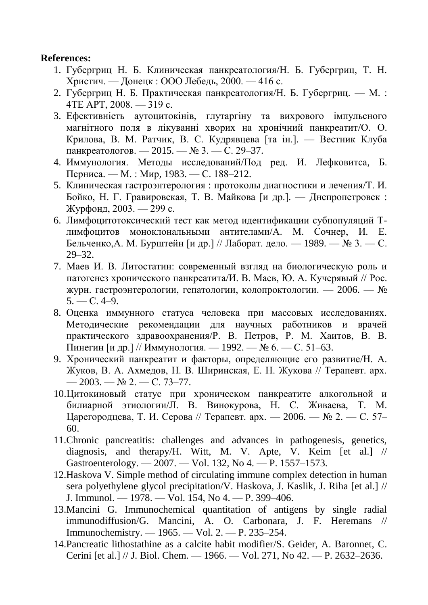## **References:**

- 1. Губергриц Н. Б. Клиническая панкреатология/Н. Б. Губергриц, Т. Н. Христич. — Донецк : ООО Лебедь, 2000. — 416 с.
- 2. Губергриц Н. Б. Практическая панкреатология/Н. Б. Губергриц. М. : 4ТЕ АРТ, 2008. — 319 с.
- 3. Ефективність аутоцитокінів, глутаргіну та вихрового імпульсного магнітного поля в лікуванні хворих на хронічний панкреатит/О. О. Крилова, В. М. Ратчик, В. Є. Кудрявцева [та ін.]. — Вестник Клуба панкреатологов. — 2015. — № 3. — С. 29–37.
- 4. Иммунология. Методы исследований/Под ред. И. Лефковитса, Б. Перниса. — М. : Мир, 1983. — С. 188–212.
- 5. Клиническая гастроэнтерология : протоколы диагностики и лечения/Т. И. Бойко, Н. Г. Гравировская, Т. В. Майкова [и др.]. — Днепропетровск : Журфонд, 2003. — 299 с.
- 6. Лимфоцитотоксический тест как метод идентификации субпопуляций Тлимфоцитов моноклональными антителами/А. М. Сочнер, И. Е. Бельченко,А. М. Бурштейн [и др.] // Лаборат. дело. — 1989. — № 3. — С. 29–32.
- 7. Маев И. В. Литостатин: современный взгляд на биологическую роль и патогенез хронического панкреатита/И. В. Маев, Ю. А. Кучерявый // Рос. журн. гастроэнтерологии, гепатологии, колопроктологии. — 2006. — №  $5. - C. 4-9.$
- 8. Оценка иммунного статуса человека при массовых исследованиях. Методические рекомендации для научных работников и врачей практического здравоохранения/Р. В. Петров, Р. М. Хаитов, В. В. Пинегин [и др.] // Иммунология. — 1992. — № 6. — С. 51–63.
- 9. Хронический панкреатит и факторы, определяющие его развитие/Н. А. Жуков, В. А. Ахмедов, Н. В. Ширинская, Е. Н. Жукова // Терапевт. арх.  $-2003. - N_2$  2. - C. 73-77.
- 10.Цитокиновый статус при хроническом панкреатите алкогольной и билиарной этиологии/Л. В. Винокурова, Н. С. Живаева, Т. М. Царегородцева, Т. И. Серова // Терапевт. арх. — 2006. — № 2. — С. 57– 60.
- 11.Chronic pancreatitis: challenges and advances in pathogenesis, genetics, diagnosis, and therapy/H. Witt, M. V. Apte, V. Keim [et al.] // Gastroenterology. — 2007. — Vol. 132, No 4. — P. 1557–1573.
- 12.Haskova V. Simple method of circulating immune complex detection in human sera polyethylene glycol precipitation/V. Haskova, J. Kaslik, J. Riha [et al.] // J. Immunol. — 1978. — Vol. 154, No 4. — P. 399–406.
- 13.Mancini G. Immunochemical quantitation of antigens by single radial immunodiffusion/G. Mancini, A. O. Carbonara, J. F. Heremans // Immunochemistry. — 1965. — Vol. 2. — P. 235–254.
- 14.Pancreatic lithostathine as a calcite habit modifier/S. Geider, A. Baronnet, C. Cerini [et al.] // J. Biol. Chem. — 1966. — Vol. 271, No 42. — P. 2632–2636.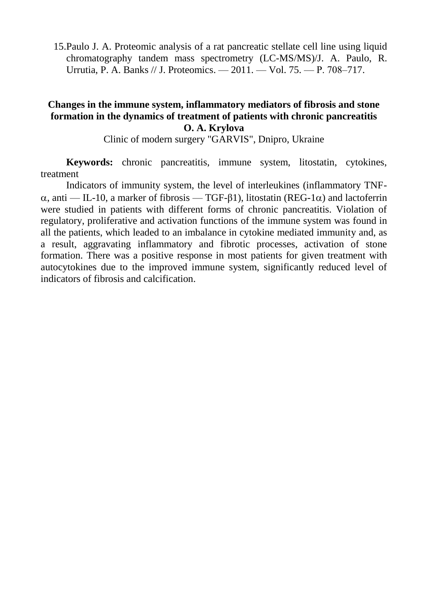15.Paulo J. A. Proteomic analysis of a rat pancreatic stellate cell line using liquid chromatography tandem mass spectrometry (LC-MS/MS)/J. A. Paulo, R. Urrutia, P. A. Banks // J. Proteomics. — 2011. — Vol. 75. — Р. 708–717.

## **Changes in the immune system, inflammatory mediators of fibrosis and stone formation in the dynamics of treatment of patients with chronic pancreatitis O. A. Krylova**

Clinic of modern surgery "GARVIS", Dnipro, Ukraine

**Keywords:** chronic pancreatitis, immune system, litostatin, cytokines, treatment

Indicators of immunity system, the level of interleukines (inflammatory TNF-  $\alpha$ , anti — IL-10, a marker of fibrosis — TGF- $\beta$ 1), litostatin (REG-1 $\alpha$ ) and lactoferrin were studied in patients with different forms of chronic pancreatitis. Violation of regulatory, proliferative and activation functions of the immune system was found in all the patients, which leaded to an imbalance in cytokine mediated immunity and, as a result, aggravating inflammatory and fibrotic processes, activation of stone formation. There was a positive response in most patients for given treatment with autocytokines due to the improved immune system, significantly reduced level of indicators of fibrosis and calcification.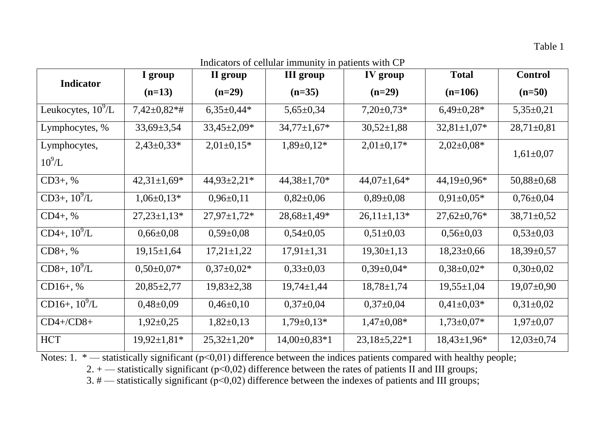Table 1

Indicators of cellular immunity in patients with CP

| <b>Indicator</b>            | I group            | II group           | <b>III</b> group   | IV group                  | <b>Total</b>       | <b>Control</b>   |
|-----------------------------|--------------------|--------------------|--------------------|---------------------------|--------------------|------------------|
|                             | $(n=13)$           | $(n=29)$           | $(n=35)$           | $(n=29)$                  | $(n=106)$          | $(n=50)$         |
| Leukocytes, $10^9$ /L       | $7,42\pm0,82**$    | $6,35\pm0,44*$     | $5,65 \pm 0,34$    | $7,20\pm0,73*$            | $6,49\pm0,28*$     | $5,35\pm0,21$    |
| Lymphocytes, %              | $33,69 \pm 3,54$   | $33,45 \pm 2,09*$  | $34,77 \pm 1,67$ * | $30,52 \pm 1,88$          | $32,81 \pm 1,07*$  | $28,71\pm0,81$   |
| Lymphocytes,<br>$10^9$ /L   | $2,43\pm0,33*$     | $2,01\pm0,15*$     | $1,89 \pm 0,12*$   | $2,01\pm0,17*$            | $2,02\pm0,08*$     | $1,61\pm0,07$    |
| $CD3+, %$                   | $42,31\pm1,69*$    | $44,93 \pm 2,21*$  | $44,38 \pm 1,70$ * | $44,07\pm1,64*$           | $44,19\pm0,96*$    | $50,88 \pm 0,68$ |
| CD3+, $10^{9}/L$            | $1,06\pm0,13*$     | $0,96\pm0,11$      | $0,82{\pm}0,06$    | $0,89\pm0,08$             | $0.91 \pm 0.05*$   | $0,76 \pm 0,04$  |
| $CD4+, %$                   | $27,23 \pm 1,13*$  | $27,97 \pm 1,72$ * | $28,68 \pm 1,49^*$ | $26,11\pm1,13*$           | $27,62 \pm 0,76$ * | $38,71 \pm 0.52$ |
| $CD4+, 10^9/L$              | $0,66 \pm 0,08$    | $0,59\pm0,08$      | $0,54\pm0,05$      | $0,51\pm0,03$             | $0,56 \pm 0,03$    | $0,53\pm0,03$    |
| $CD8+, %$                   | $19,15 \pm 1,64$   | $17,21 \pm 1,22$   | $17,91 \pm 1,31$   | $19,30 \pm 1,13$          | $18,23\pm0,66$     | $18,39 \pm 0,57$ |
| $CD8+, 10^{9}/\overline{L}$ | $0.50 \pm 0.07*$   | $0,37\pm0,02*$     | $0,33\pm0,03$      | $0,39\pm0,04*$            | $0,38\pm0,02*$     | $0,30\pm0,02$    |
| $CD16+, %$                  | $20,85 \pm 2,77$   | $19,83 \pm 2,38$   | $19,74 \pm 1,44$   | $18,78 \pm 1,74$          | $19,55 \pm 1,04$   | $19,07 \pm 0,90$ |
| CD16+, $10^9$ /L            | $0,48\pm0,09$      | $0,46\pm0,10$      | $0,37\pm0,04$      | $0,37\pm0,04$             | $0.41 \pm 0.03*$   | $0,31\pm0,02$    |
| $CD4+/CD8+$                 | $1,92\pm0,25$      | $1,82\pm0,13$      | $1,79 \pm 0,13*$   | $1,47\pm0,08*$            | $1,73\pm0,07*$     | $1,97 \pm 0,07$  |
| <b>HCT</b>                  | $19,92 \pm 1,81$ * | $25,32\pm1,20*$    | $14,00\pm0,83*1$   | $23,18 \pm 5,22 \times 1$ | $18,43\pm1,96*$    | $12,03 \pm 0,74$ |

Notes: 1.  $*$  — statistically significant ( $p<0,01$ ) difference between the indices patients compared with healthy people;

2. + — statistically significant (p<0,02) difference between the rates of patients II and III groups;

3. # — statistically significant (p<0,02) difference between the indexes of patients and III groups;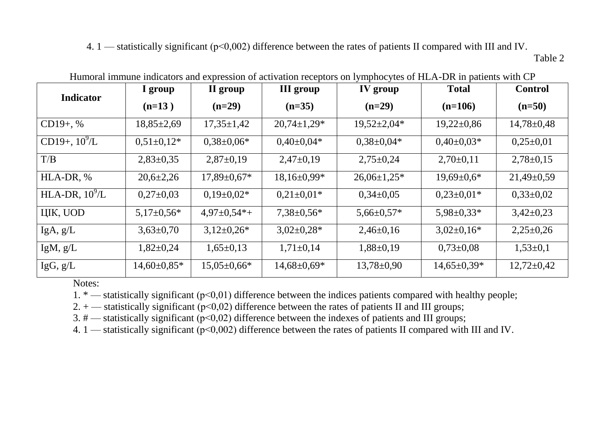4. 1 — statistically significant ( $p<0,002$ ) difference between the rates of patients II compared with III and IV. Table 2

| <b>Indicator</b>  | I group          | II group           | <b>III</b> group  | IV group           | <b>Total</b>     | <b>Control</b>   |
|-------------------|------------------|--------------------|-------------------|--------------------|------------------|------------------|
|                   | $(n=13)$         | $(n=29)$           | $(n=35)$          | $(n=29)$           | $(n=106)$        | $(n=50)$         |
| $CD19+$ , %       | $18,85\pm2,69$   | $17,35 \pm 1,42$   | $20,74\pm1,29*$   | $19,52\pm2,04*$    | $19,22 \pm 0.86$ | $14,78 \pm 0,48$ |
| CD19+, $10^9$ /L  | $0.51 \pm 0.12*$ | $0.38 \pm 0.06*$   | $0.40 \pm 0.04*$  | $0.38 \pm 0.04*$   | $0.40 \pm 0.03*$ | $0,25\pm0,01$    |
| T/B               | $2,83\pm0,35$    | $2,87\pm0,19$      | $2,47\pm0,19$     | $2,75 \pm 0.24$    | $2,70\pm0,11$    | $2,78 \pm 0,15$  |
| HLA-DR, %         | $20,6{\pm}2,26$  | $17,89 \pm 0.67*$  | $18,16\pm0.99*$   | $26.06 \pm 1.25$ * | $19,69 \pm 0.6*$ | $21,49\pm0.59$   |
| HLA-DR, $10^9$ /L | $0,27\pm0.03$    | $0.19 \pm 0.02*$   | $0.21 \pm 0.01*$  | $0,34\pm0,05$      | $0.23 \pm 0.01*$ | $0,33\pm0,02$    |
| ЦІК, UOD          | $5,17\pm0.56*$   | $4.97 \pm 0.54* +$ | $7,38 \pm 0.56*$  | $5,66 \pm 0.57*$   | $5,98 \pm 0,33*$ | $3,42\pm0,23$    |
| IgA, g/L          | $3,63\pm0,70$    | $3,12\pm0,26*$     | $3,02\pm0,28*$    | $2,46\pm0,16$      | $3,02\pm0,16*$   | $2,25\pm0.26$    |
| IgM, $g/L$        | $1,82\pm0,24$    | $1,65\pm0,13$      | $1,71\pm0,14$     | $1,88\pm0,19$      | $0,73\pm0,08$    | $1,53\pm0,1$     |
| IgG, g/L          | $14,60\pm0.85*$  | $15,05\pm0,66*$    | $14,68 \pm 0,69*$ | $13,78 \pm 0.90$   | $14,65\pm0.39*$  | $12,72 \pm 0,42$ |

Humoral immune indicators and expression of activation receptors on lymphocytes of HLA-DR in patients with CP

Notes:

1. \* — statistically significant (p<0,01) difference between the indices patients compared with healthy people;

2.  $+$  — statistically significant ( $p$ <0,02) difference between the rates of patients II and III groups;

3.  $\#$  — statistically significant ( $p$ <0,02) difference between the indexes of patients and III groups;

4. 1 — statistically significant (p<0,002) difference between the rates of patients II compared with III and IV.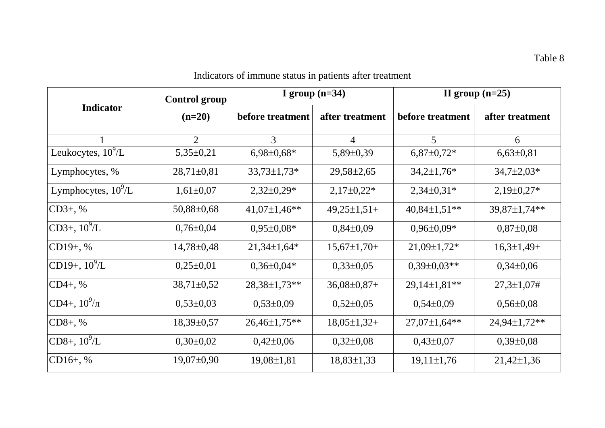|                        | <b>Control group</b> |                  | I group $(n=34)$ |                  | II group $(n=25)$  |
|------------------------|----------------------|------------------|------------------|------------------|--------------------|
| <b>Indicator</b>       | $(n=20)$             | before treatment | after treatment  | before treatment | after treatment    |
|                        | $\overline{2}$       | 3                | $\overline{4}$   | 5                | 6                  |
| Leukocytes, $10^9$ /L  | $5,35\pm0,21$        | $6,98\pm0,68*$   | $5,89\pm0,39$    | $6,87\pm0,72*$   | $6,63\pm0,81$      |
| Lymphocytes, %         | $28,71\pm0,81$       | $33,73\pm1,73*$  | $29,58 \pm 2,65$ | $34,2{\pm}1,76*$ | $34,7{\pm}2,03*$   |
| Lymphocytes, $10^9$ /L | $1,61\pm0,07$        | $2,32\pm0,29*$   | $2,17\pm0,22*$   | $2,34\pm0,31*$   | $2,19\pm0,27*$     |
| $CD3+, %$              | $50,88 \pm 0,68$     | $41,07\pm1,46**$ | $49,25\pm1,51+$  | $40,84\pm1,51**$ | 39,87±1,74**       |
| $CD3+, 10^9/L$         | $0,76 \pm 0.04$      | $0,95\pm0,08*$   | $0,84\pm0,09$    | $0,96\pm0,09*$   | $0,87 \pm 0,08$    |
| $CD19+, %$             | $14,78 \pm 0,48$     | $21,34\pm1,64*$  | $15,67\pm1,70+$  | $21,09\pm1,72*$  | $16,3\pm1,49+$     |
| CD19+, $10^9$ /L       | $0,25\pm0,01$        | $0,36\pm0,04*$   | $0,33\pm0,05$    | $0,39\pm0,03**$  | $0,34\pm0,06$      |
| $CD4+, %$              | $38,71 \pm 0,52$     | 28,38±1,73**     | $36,08\pm0,87+$  | $29,14\pm1,81**$ | $27,3 \pm 1,07 \#$ |
| CD4+, $10^9/\pi$       | $0,53\pm0,03$        | $0,53\pm0,09$    | $0,52\pm0,05$    | $0,54\pm0,09$    | $0,56 \pm 0,08$    |
| $CD8+, %$              | $18,39 \pm 0.57$     | $26,46\pm1,75**$ | $18,05\pm1,32+$  | $27,07\pm1,64**$ | $24,94\pm1,72**$   |
| $CD8+, 10^9/L$         | $0,30\pm0,02$        | $0,42\pm0,06$    | $0,32\pm0,08$    | $0,43\pm0,07$    | $0,39\pm0,08$      |
| $CD16+, %$             | $19,07\pm0,90$       | $19,08 \pm 1,81$ | $18,83 \pm 1,33$ | $19,11\pm1,76$   | $21,42\pm 1,36$    |